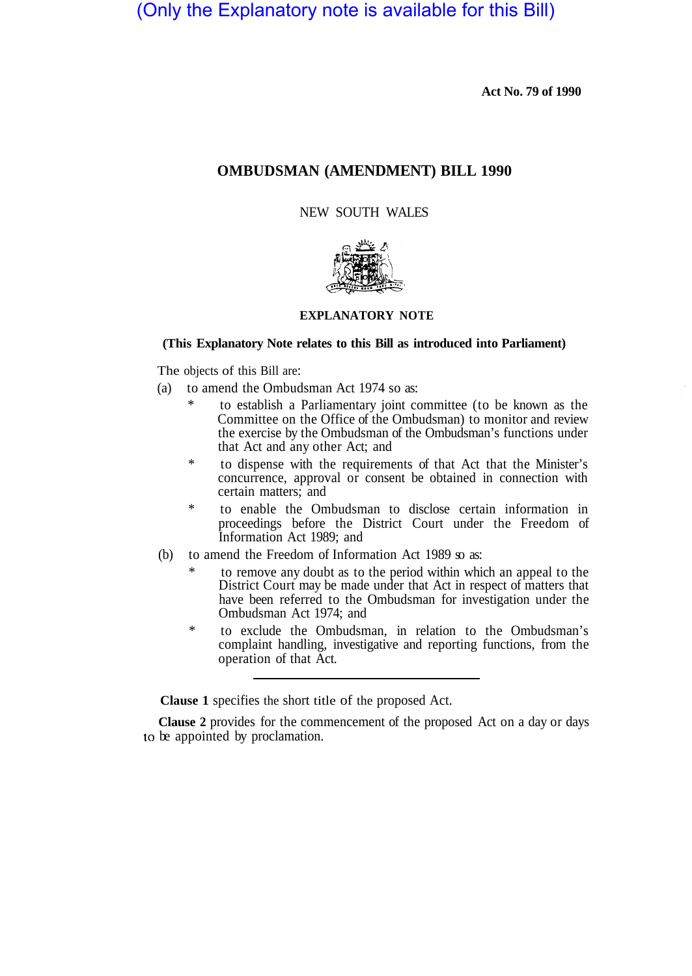# (Only the Explanatory note is available for this Bill)

**Act No. 79 of 1990** 

# **OMBUDSMAN (AMENDMENT) BILL 1990**

NEW SOUTH WALES



# **EXPLANATORY NOTE**

### **(This Explanatory Note relates to this Bill as introduced into Parliament)**

The objects of this Bill are:

- (a) to amend the Ombudsman Act 1974 so as:
	- to establish a Parliamentary joint committee (to be known as the Committee on the Office of the Ombudsman) to monitor and review the exercise by the Ombudsman of the Ombudsman's functions under that Act and any other Act; and
	- \* to dispense with the requirements of that Act that the Minister's concurrence, approval or consent be obtained in connection with certain matters; and
	- \* to enable the Ombudsman to disclose certain information in proceedings before the District Court under the Freedom of Information Act 1989; and
- (b) to amend the Freedom of Information Act 1989 so as:
	- to remove any doubt as to the period within which an appeal to the District Court may be made under that Act in respect of matters that have been referred to the Ombudsman for investigation under the Ombudsman Act 1974; and
	- \* to exclude the Ombudsman, in relation to the Ombudsman's complaint handling, investigative and reporting functions, from the operation of that Act.

**Clause 1** specifies the short title of the proposed Act.

**Clause 2** provides for the commencement of the proposed Act on a day or days to be appointed by proclamation.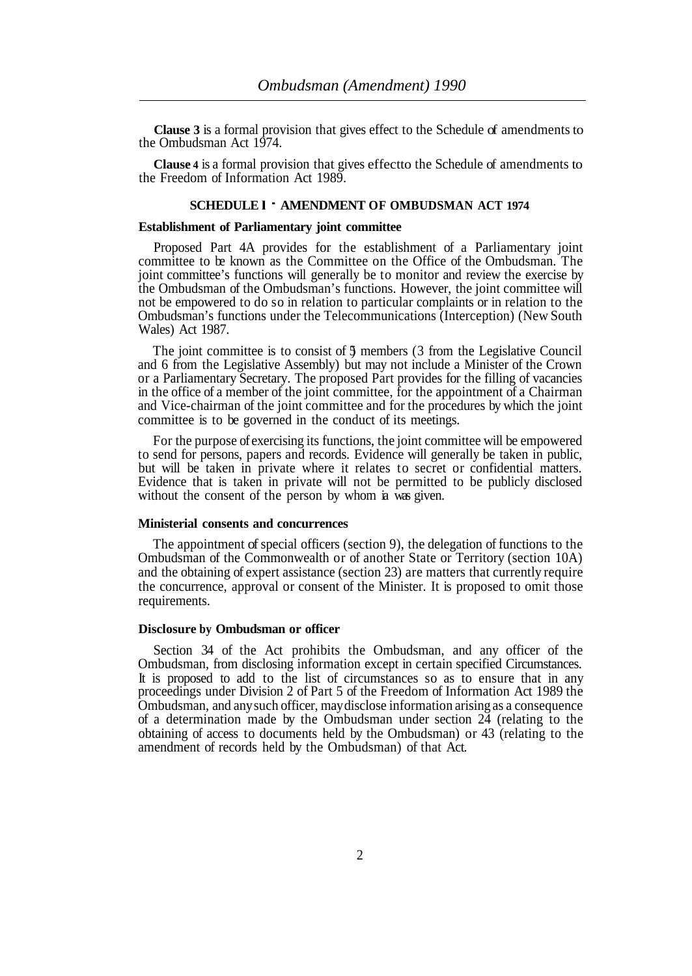**Clause 3** is a formal provision that gives effect to the Schedule of amendments to the Ombudsman Act 1974.

**Clause 4** is a formal provision that gives effect to the Schedule of amendments to the Freedom of Information Act 1989.

#### **SCHEDULE l** - **AMENDMENT OF OMBUDSMAN ACT 1974**

#### **Establishment of Parliamentary joint committee**

Proposed Part 4A provides for the establishment of a Parliamentary joint committee to be known as the Committee on the Office of the Ombudsman. The joint committee's functions will generally be to monitor and review the exercise by the Ombudsman of the Ombudsman's functions. However, the joint committee will not be empowered to do so in relation to particular complaints or in relation to the Ombudsman's functions under the Telecommunications (Interception) (New South Wales) Act 1987.

The joint committee is to consist of 5 members (3 from the Legislative Council and 6 from the Legislative Assembly) but may not include a Minister of the Crown or a Parliamentary Secretary. The proposed Part provides for the filling of vacancies in the office of a member of the joint committee, for the appointment of a Chairman and Vice-chairman of the joint committee and for the procedures by which the joint committee is to be governed in the conduct of its meetings.

For the purpose of exercising its functions, the joint committee will be empowered to send for persons, papers and records. Evidence will generally be taken in public, but will be taken in private where it relates to secret or confidential matters. Evidence that is taken in private will not be permitted to be publicly disclosed without the consent of the person by whom ia was given.

### **Ministerial consents and concurrences**

The appointment of special officers (section 9), the delegation of functions to the Ombudsman of the Commonwealth or of another State or Territory (section 10A) and the obtaining of expert assistance (section 23) are matters that currently require the concurrence, approval or consent of the Minister. It is proposed to omit those requirements.

## **Disclosure by Ombudsman or officer**

Section 34 of the Act prohibits the Ombudsman, and any officer of the Ombudsman, from disclosing information except in certain specified Circumstances. It is proposed to add to the list of circumstances so as to ensure that in any proceedings under Division 2 of Part 5 of the Freedom of Information Act 1989 the Ombudsman, and any such officer, may disclose information arising as a consequence of a determination made by the Ombudsman under section 24 (relating to the obtaining of access to documents held by the Ombudsman) or 43 (relating to the amendment of records held by the Ombudsman) of that Act.